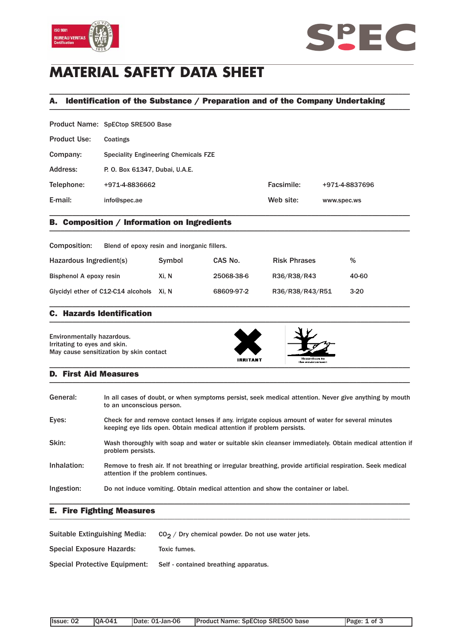



# **MATERIAL SAFETY DATA SHEET**

## A. Identification of the Substance / Preparation and of the Company Undertaking \_\_\_\_\_\_\_\_\_\_\_\_\_\_\_\_\_\_\_\_\_\_\_\_\_\_\_\_\_\_\_\_\_\_\_\_\_\_\_\_\_\_\_\_\_\_\_\_\_\_\_\_\_\_\_\_\_\_\_\_\_\_\_\_\_\_\_\_\_\_\_\_\_\_\_\_\_\_\_\_\_\_\_\_\_\_\_\_\_\_\_\_\_\_\_

\_\_\_\_\_\_\_\_\_\_\_\_\_\_\_\_\_\_\_\_\_\_\_\_\_\_\_\_\_\_\_\_\_\_\_\_\_\_\_\_\_\_\_\_\_\_\_\_\_\_\_\_\_\_\_\_\_\_\_\_\_\_\_\_\_\_\_\_\_\_\_\_\_\_\_\_\_\_\_\_\_\_\_\_\_\_\_\_\_\_\_\_\_\_\_

|                     | Product Name: SpECtop SRE500 Base           |            |                |  |  |
|---------------------|---------------------------------------------|------------|----------------|--|--|
| <b>Product Use:</b> | Coatings                                    |            |                |  |  |
| Company:            | <b>Speciality Engineering Chemicals FZE</b> |            |                |  |  |
| Address:            | P. O. Box 61347, Dubai, U.A.E.              |            |                |  |  |
| Telephone:          | +971-4-8836662                              | Facsimile: | +971-4-8837696 |  |  |
| E-mail:             | info@spec.ae                                | Web site:  | www.spec.ws    |  |  |
|                     |                                             |            |                |  |  |

## B. Composition / Information on Ingredients \_\_\_\_\_\_\_\_\_\_\_\_\_\_\_\_\_\_\_\_\_\_\_\_\_\_\_\_\_\_\_\_\_\_\_\_\_\_\_\_\_\_\_\_\_\_\_\_\_\_\_\_\_\_\_\_\_\_\_\_\_\_\_\_\_\_\_\_\_\_\_\_\_\_\_\_\_\_\_\_\_\_\_\_\_\_\_\_\_\_\_\_\_\_\_

| Composition:                             | Blend of epoxy resin and inorganic fillers. |            |                     |        |
|------------------------------------------|---------------------------------------------|------------|---------------------|--------|
| Hazardous Ingredient(s)                  | Symbol                                      | CAS No.    | <b>Risk Phrases</b> | %      |
| Bisphenol A epoxy resin                  | Xi. N                                       | 25068-38-6 | R36/R38/R43         | 40-60  |
| Glycidyl ether of C12-C14 alcohols Xi, N |                                             | 68609-97-2 | R36/R38/R43/R51     | $3-20$ |

\_\_\_\_\_\_\_\_\_\_\_\_\_\_\_\_\_\_\_\_\_\_\_\_\_\_\_\_\_\_\_\_\_\_\_\_\_\_\_\_\_\_\_\_\_\_\_\_\_\_\_\_\_\_\_\_\_\_\_\_\_\_\_\_\_\_\_\_\_\_\_\_\_\_\_\_\_\_\_\_\_\_\_\_\_\_\_\_\_\_\_\_\_\_\_

### C. Hazards Identification  $\blacksquare$

Environmentally hazardous. Irritating to eyes and skin. May cause sensitization by skin contact





### D. First Aid Measures  $\blacksquare$

| General:    | In all cases of doubt, or when symptoms persist, seek medical attention. Never give anything by mouth<br>to an unconscious person.                                       |
|-------------|--------------------------------------------------------------------------------------------------------------------------------------------------------------------------|
| Eyes:       | Check for and remove contact lenses if any, irrigate copious amount of water for several minutes<br>keeping eye lids open. Obtain medical attention if problem persists. |
| Skin:       | Wash thoroughly with soap and water or suitable skin cleanser immediately. Obtain medical attention if<br>problem persists.                                              |
| Inhalation: | Remove to fresh air. If not breathing or irregular breathing, provide artificial respiration. Seek medical<br>attention if the problem continues.                        |
| Ingestion:  | Do not induce vomiting. Obtain medical attention and show the container or label.                                                                                        |

### E. Fire Fighting Measures \_\_\_\_\_\_\_\_\_\_\_\_\_\_\_\_\_\_\_\_\_\_\_\_\_\_\_\_\_\_\_\_\_\_\_\_\_\_\_\_\_\_\_\_\_\_\_\_\_\_\_\_\_\_\_\_\_\_\_\_\_\_\_\_\_\_\_\_\_\_\_\_\_\_\_\_\_\_\_\_\_\_\_\_\_\_\_\_\_\_\_\_\_\_\_

| Suitable Extinguishing Media: | $CO2$ / Dry chemical powder. Do not use water jets. |
|-------------------------------|-----------------------------------------------------|
| Special Exposure Hazards:     | Toxic fumes.                                        |
| Special Protective Equipment: | Self - contained breathing apparatus.               |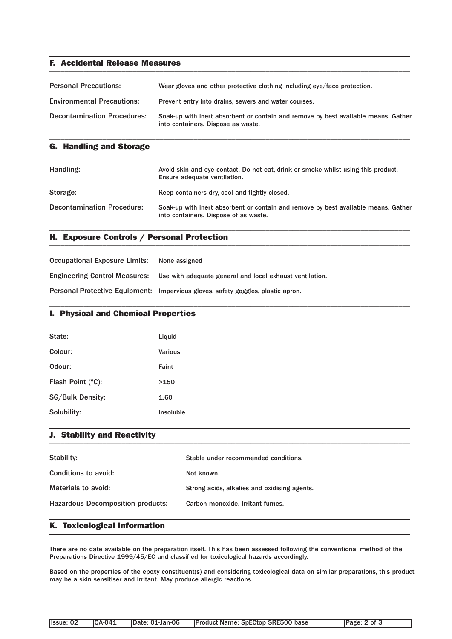### F. Accidental Release Measures  $\blacksquare$

| <b>Personal Precautions:</b>       | Wear gloves and other protective clothing including eye/face protection.                                                 |
|------------------------------------|--------------------------------------------------------------------------------------------------------------------------|
| <b>Environmental Precautions:</b>  | Prevent entry into drains, sewers and water courses.                                                                     |
| <b>Decontamination Procedures:</b> | Soak-up with inert absorbent or contain and remove by best available means. Gather<br>into containers. Dispose as waste. |

\_\_\_\_\_\_\_\_\_\_\_\_\_\_\_\_\_\_\_\_\_\_\_\_\_\_\_\_\_\_\_\_\_\_\_\_\_\_\_\_\_\_\_\_\_\_\_\_\_\_\_\_\_\_\_\_\_\_\_\_\_\_\_\_\_\_\_\_\_\_\_\_\_\_\_\_\_\_\_\_\_\_\_\_\_\_\_\_\_\_\_\_\_\_\_

\_\_\_\_\_\_\_\_\_\_\_\_\_\_\_\_\_\_\_\_\_\_\_\_\_\_\_\_\_\_\_\_\_\_\_\_\_\_\_\_\_\_\_\_\_\_\_\_\_\_\_\_\_\_\_\_\_\_\_\_\_\_\_\_\_\_\_\_\_\_\_\_\_\_\_\_\_\_\_\_\_\_\_\_\_\_\_\_\_\_\_\_\_\_\_

### G. Handling and Storage  $\blacksquare$

| Handling:                         | Avoid skin and eye contact. Do not eat, drink or smoke whilst using this product.<br>Ensure adequate ventilation.           |
|-----------------------------------|-----------------------------------------------------------------------------------------------------------------------------|
| Storage:                          | Keep containers dry, cool and tightly closed.                                                                               |
| <b>Decontamination Procedure:</b> | Soak-up with inert absorbent or contain and remove by best available means. Gather<br>into containers. Dispose of as waste. |

\_\_\_\_\_\_\_\_\_\_\_\_\_\_\_\_\_\_\_\_\_\_\_\_\_\_\_\_\_\_\_\_\_\_\_\_\_\_\_\_\_\_\_\_\_\_\_\_\_\_\_\_\_\_\_\_\_\_\_\_\_\_\_\_\_\_\_\_\_\_\_\_\_\_\_\_\_\_\_\_\_\_\_\_\_\_\_\_\_\_\_\_\_\_\_

## H. Exposure Controls / Personal Protection \_\_\_\_\_\_\_\_\_\_\_\_\_\_\_\_\_\_\_\_\_\_\_\_\_\_\_\_\_\_\_\_\_\_\_\_\_\_\_\_\_\_\_\_\_\_\_\_\_\_\_\_\_\_\_\_\_\_\_\_\_\_\_\_\_\_\_\_\_\_\_\_\_\_\_\_\_\_\_\_\_\_\_\_\_\_\_\_\_\_\_\_\_\_\_

| Occupational Exposure Limits:        | None assigned                                                                    |
|--------------------------------------|----------------------------------------------------------------------------------|
| <b>Engineering Control Measures:</b> | Use with adequate general and local exhaust ventilation.                         |
|                                      | Personal Protective Equipment: Impervious gloves, safety goggles, plastic apron. |

## I. Physical and Chemical Properties \_\_\_\_\_\_\_\_\_\_\_\_\_\_\_\_\_\_\_\_\_\_\_\_\_\_\_\_\_\_\_\_\_\_\_\_\_\_\_\_\_\_\_\_\_\_\_\_\_\_\_\_\_\_\_\_\_\_\_\_\_\_\_\_\_\_\_\_\_\_\_\_\_\_\_\_\_\_\_\_\_\_\_\_\_\_\_\_\_\_\_\_\_\_\_

| State:            | Liquid         |
|-------------------|----------------|
| Colour:           | <b>Various</b> |
| Odour:            | Faint          |
| Flash Point (°C): | >150           |
| SG/Bulk Density:  | 1.60           |
| Solubility:       | Insoluble      |

\_\_\_\_\_\_\_\_\_\_\_\_\_\_\_\_\_\_\_\_\_\_\_\_\_\_\_\_\_\_\_\_\_\_\_\_\_\_\_\_\_\_\_\_\_\_\_\_\_\_\_\_\_\_\_\_\_\_\_\_\_\_\_\_\_\_\_\_\_\_\_\_\_\_\_\_\_\_\_\_\_\_\_\_\_\_\_\_\_\_\_\_\_\_\_

\_\_\_\_\_\_\_\_\_\_\_\_\_\_\_\_\_\_\_\_\_\_\_\_\_\_\_\_\_\_\_\_\_\_\_\_\_\_\_\_\_\_\_\_\_\_\_\_\_\_\_\_\_\_\_\_\_\_\_\_\_\_\_\_\_\_\_\_\_\_\_\_\_\_\_\_\_\_\_\_\_\_\_\_\_\_\_\_\_\_\_\_\_\_\_

## J. Stability and Reactivity \_\_\_\_\_\_\_\_\_\_\_\_\_\_\_\_\_\_\_\_\_\_\_\_\_\_\_\_\_\_\_\_\_\_\_\_\_\_\_\_\_\_\_\_\_\_\_\_\_\_\_\_\_\_\_\_\_\_\_\_\_\_\_\_\_\_\_\_\_\_\_\_\_\_\_\_\_\_\_\_\_\_\_\_\_\_\_\_\_\_\_\_\_\_\_

| Stability:                               | Stable under recommended conditions.         |
|------------------------------------------|----------------------------------------------|
| Conditions to avoid:                     | Not known.                                   |
| Materials to avoid:                      | Strong acids, alkalies and oxidising agents. |
| <b>Hazardous Decomposition products:</b> | Carbon monoxide. Irritant fumes.             |

\_\_\_\_\_\_\_\_\_\_\_\_\_\_\_\_\_\_\_\_\_\_\_\_\_\_\_\_\_\_\_\_\_\_\_\_\_\_\_\_\_\_\_\_\_\_\_\_\_\_\_\_\_\_\_\_\_\_\_\_\_\_\_\_\_\_\_\_\_\_\_\_\_\_\_\_\_\_\_\_\_\_\_\_\_\_\_\_\_\_\_\_\_\_\_

## K. Toxicological Information \_\_\_\_\_\_\_\_\_\_\_\_\_\_\_\_\_\_\_\_\_\_\_\_\_\_\_\_\_\_\_\_\_\_\_\_\_\_\_\_\_\_\_\_\_\_\_\_\_\_\_\_\_\_\_\_\_\_\_\_\_\_\_\_\_\_\_\_\_\_\_\_\_\_\_\_\_\_\_\_\_\_\_\_\_\_\_\_\_\_\_\_\_\_\_

There are no date available on the preparation itself. This has been assessed following the conventional method of the Preparations Directive 1999/45/EC and classified for toxicological hazards accordingly.

Based on the properties of the epoxy constituent(s) and considering toxicological data on similar preparations, this product may be a skin sensitiser and irritant. May produce allergic reactions.

| llssue: 02 | <b>10A-041</b> | IDate: 01-Jan-06 | <b>Product Name: SpECtop SRE500 base</b> | Page: 2 of 3 |
|------------|----------------|------------------|------------------------------------------|--------------|
|            |                |                  |                                          |              |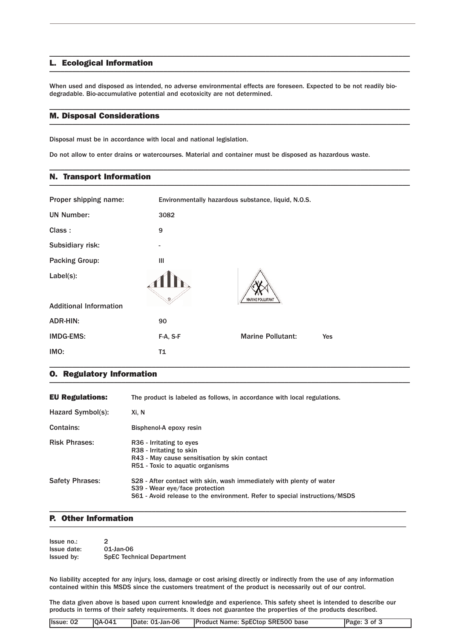### L. Ecological Information \_\_\_\_\_\_\_\_\_\_\_\_\_\_\_\_\_\_\_\_\_\_\_\_\_\_\_\_\_\_\_\_\_\_\_\_\_\_\_\_\_\_\_\_\_\_\_\_\_\_\_\_\_\_\_\_\_\_\_\_\_\_\_\_\_\_\_\_\_\_\_\_\_\_\_\_\_\_\_\_\_\_\_\_\_\_\_\_\_\_\_\_\_\_\_

When used and disposed as intended, no adverse environmental effects are foreseen. Expected to be not readily biodegradable. Bio-accumulative potential and ecotoxicity are not determined.

\_\_\_\_\_\_\_\_\_\_\_\_\_\_\_\_\_\_\_\_\_\_\_\_\_\_\_\_\_\_\_\_\_\_\_\_\_\_\_\_\_\_\_\_\_\_\_\_\_\_\_\_\_\_\_\_\_\_\_\_\_\_\_\_\_\_\_\_\_\_\_\_\_\_\_\_\_\_\_\_\_\_\_\_\_\_\_\_\_\_\_\_\_\_\_

\_\_\_\_\_\_\_\_\_\_\_\_\_\_\_\_\_\_\_\_\_\_\_\_\_\_\_\_\_\_\_\_\_\_\_\_\_\_\_\_\_\_\_\_\_\_\_\_\_\_\_\_\_\_\_\_\_\_\_\_\_\_\_\_\_\_\_\_\_\_\_\_\_\_\_\_\_\_\_\_\_\_\_\_\_\_\_\_\_\_\_\_\_\_\_

\_\_\_\_\_\_\_\_\_\_\_\_\_\_\_\_\_\_\_\_\_\_\_\_\_\_\_\_\_\_\_\_\_\_\_\_\_\_\_\_\_\_\_\_\_\_\_\_\_\_\_\_\_\_\_\_\_\_\_\_\_\_\_\_\_\_\_\_\_\_\_\_\_\_\_\_\_\_\_\_\_\_\_\_\_\_\_\_\_\_\_\_\_\_\_

### M. Disposal Considerations \_\_\_\_\_\_\_\_\_\_\_\_\_\_\_\_\_\_\_\_\_\_\_\_\_\_\_\_\_\_\_\_\_\_\_\_\_\_\_\_\_\_\_\_\_\_\_\_\_\_\_\_\_\_\_\_\_\_\_\_\_\_\_\_\_\_\_\_\_\_\_\_\_\_\_\_\_\_\_\_\_\_\_\_\_\_\_\_\_\_\_\_\_\_\_

Disposal must be in accordance with local and national legislation.

Do not allow to enter drains or watercourses. Material and container must be disposed as hazardous waste.

## N. Transport Information \_\_\_\_\_\_\_\_\_\_\_\_\_\_\_\_\_\_\_\_\_\_\_\_\_\_\_\_\_\_\_\_\_\_\_\_\_\_\_\_\_\_\_\_\_\_\_\_\_\_\_\_\_\_\_\_\_\_\_\_\_\_\_\_\_\_\_\_\_\_\_\_\_\_\_\_\_\_\_\_\_\_\_\_\_\_\_\_\_\_\_\_\_\_\_

| Proper shipping name:         | Environmentally hazardous substance, liquid, N.O.S. |                          |     |
|-------------------------------|-----------------------------------------------------|--------------------------|-----|
| <b>UN Number:</b>             | 3082                                                |                          |     |
| Class:                        | 9                                                   |                          |     |
| Subsidiary risk:              | -                                                   |                          |     |
| <b>Packing Group:</b>         | Ш                                                   |                          |     |
| Label(s):                     |                                                     | MARINE POLLUTANT         |     |
| <b>Additional Information</b> |                                                     |                          |     |
| <b>ADR-HIN:</b>               | 90                                                  |                          |     |
| <b>IMDG-EMS:</b>              | F-A, S-F                                            | <b>Marine Pollutant:</b> | Yes |
| IMO:                          | T1                                                  |                          |     |

### O. Regulatory Information \_\_\_\_\_\_\_\_\_\_\_\_\_\_\_\_\_\_\_\_\_\_\_\_\_\_\_\_\_\_\_\_\_\_\_\_\_\_\_\_\_\_\_\_\_\_\_\_\_\_\_\_\_\_\_\_\_\_\_\_\_\_\_\_\_\_\_\_\_\_\_\_\_\_\_\_\_\_\_\_\_\_\_\_\_\_\_\_\_\_\_\_\_\_\_

| <b>EU Regulations:</b> | The product is labeled as follows, in accordance with local regulations.                                                                                                             |
|------------------------|--------------------------------------------------------------------------------------------------------------------------------------------------------------------------------------|
| Hazard Symbol(s):      | Xi. N                                                                                                                                                                                |
| Contains:              | Bisphenol-A epoxy resin                                                                                                                                                              |
| <b>Risk Phrases:</b>   | R <sub>36</sub> - Irritating to eyes<br>R38 - Irritating to skin<br>R43 - May cause sensitisation by skin contact<br>R51 - Toxic to aquatic organisms                                |
| <b>Safety Phrases:</b> | S28 - After contact with skin, wash immediately with plenty of water<br>S39 - Wear eye/face protection<br>S61 - Avoid release to the environment. Refer to special instructions/MSDS |

\_\_\_\_\_\_\_\_\_\_\_\_\_\_\_\_\_\_\_\_\_\_\_\_\_\_\_\_\_\_\_\_\_\_\_\_\_\_\_\_\_\_\_\_\_\_\_\_\_\_\_\_\_\_\_\_\_\_\_\_\_\_\_\_\_\_\_\_\_\_\_\_\_\_\_\_\_\_\_\_\_\_\_\_\_\_\_\_\_\_\_\_\_\_

### P. Other Information  $\blacksquare$

Issue no.: 2 Issue date: 01-Jan-06 Issued by: SpEC Technical Department

No liability accepted for any injury, loss, damage or cost arising directly or indirectly from the use of any information contained within this MSDS since the customers treatment of the product is necessarily out of our control.

The data given above is based upon current knowledge and experience. This safety sheet is intended to describe our products in terms of their safety requirements. It does not guarantee the properties of the products described.

|  | Issue: 02 | $ OA-041$ | Date: 01-Jan-06 | <b>Product Name: SpECtop SRE500 base</b> | Page: 3 of 3 |
|--|-----------|-----------|-----------------|------------------------------------------|--------------|
|--|-----------|-----------|-----------------|------------------------------------------|--------------|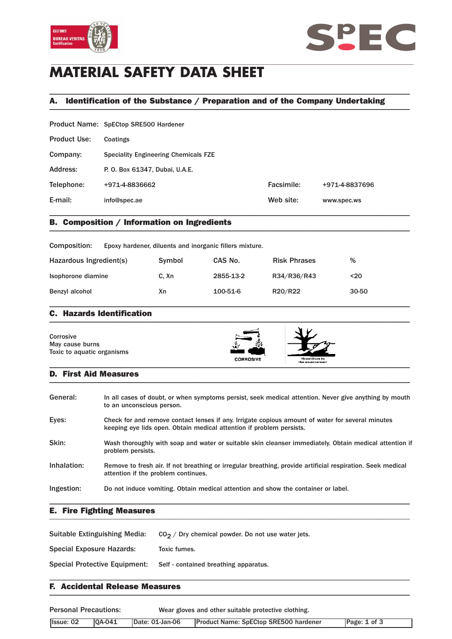



# **MATERIAL SAFETY DATA SHEET**

## A. Identification of the Substance / Preparation and of the Company Undertaking \_\_\_\_\_\_\_\_\_\_\_\_\_\_\_\_\_\_\_\_\_\_\_\_\_\_\_\_\_\_\_\_\_\_\_\_\_\_\_\_\_\_\_\_\_\_\_\_\_\_\_\_\_\_\_\_\_\_\_\_\_\_\_\_\_\_\_\_\_\_\_\_\_\_\_\_\_\_\_\_\_\_\_\_\_\_\_\_\_\_\_\_\_\_\_

\_\_\_\_\_\_\_\_\_\_\_\_\_\_\_\_\_\_\_\_\_\_\_\_\_\_\_\_\_\_\_\_\_\_\_\_\_\_\_\_\_\_\_\_\_\_\_\_\_\_\_\_\_\_\_\_\_\_\_\_\_\_\_\_\_\_\_\_\_\_\_\_\_\_\_\_\_\_\_\_\_\_\_\_\_\_\_\_\_\_\_\_\_\_\_

|                     | Product Name: SpECtop SRE500 Hardener       |            |                |
|---------------------|---------------------------------------------|------------|----------------|
| <b>Product Use:</b> | Coatings                                    |            |                |
| Company:            | <b>Speciality Engineering Chemicals FZE</b> |            |                |
| Address:            | P. O. Box 61347, Dubai, U.A.E.              |            |                |
| Telephone:          | +971-4-8836662                              | Facsimile: | +971-4-8837696 |
| E-mail:             | info@spec.ae                                | Web site:  | www.spec.ws    |
|                     |                                             |            |                |

## B. Composition / Information on Ingredients \_\_\_\_\_\_\_\_\_\_\_\_\_\_\_\_\_\_\_\_\_\_\_\_\_\_\_\_\_\_\_\_\_\_\_\_\_\_\_\_\_\_\_\_\_\_\_\_\_\_\_\_\_\_\_\_\_\_\_\_\_\_\_\_\_\_\_\_\_\_\_\_\_\_\_\_\_\_\_\_\_\_\_\_\_\_\_\_\_\_\_\_\_\_\_

| Composition:            | Epoxy hardener, diluents and inorganic fillers mixture. |           |                     |       |
|-------------------------|---------------------------------------------------------|-----------|---------------------|-------|
| Hazardous Ingredient(s) | Symbol                                                  | CAS No.   | <b>Risk Phrases</b> | %     |
| Isophorone diamine      | C. Xn                                                   | 2855-13-2 | R34/R36/R43         | $20$  |
| Benzyl alcohol          | Xn                                                      | 100-51-6  | R20/R22             | 30-50 |

### C. Hazards Identification  $\blacksquare$

| Corrosive<br>May cause burns | -474<br>۱۵. |              |  |
|------------------------------|-------------|--------------|--|
| Toxic to aquatic organisms   |             |              |  |
|                              | CORROSIVE   | Hezardous to |  |

 $\mathbf{a}$  the environment  $\mathbf{b}$ 

### D. First Aid Measures  $\blacksquare$

| General:    | In all cases of doubt, or when symptoms persist, seek medical attention. Never give anything by mouth<br>to an unconscious person.                                       |
|-------------|--------------------------------------------------------------------------------------------------------------------------------------------------------------------------|
| Eyes:       | Check for and remove contact lenses if any. Irrigate copious amount of water for several minutes<br>keeping eye lids open. Obtain medical attention if problem persists. |
| Skin:       | Wash thoroughly with soap and water or suitable skin cleanser immediately. Obtain medical attention if<br>problem persists.                                              |
| Inhalation: | Remove to fresh air. If not breathing or irregular breathing, provide artificial respiration. Seek medical<br>attention if the problem continues.                        |
| Ingestion:  | Do not induce vomiting. Obtain medical attention and show the container or label.                                                                                        |

\_\_\_\_\_\_\_\_\_\_\_\_\_\_\_\_\_\_\_\_\_\_\_\_\_\_\_\_\_\_\_\_\_\_\_\_\_\_\_\_\_\_\_\_\_\_\_\_\_\_\_\_\_\_\_\_\_\_\_\_\_\_\_\_\_\_\_\_\_\_\_\_\_\_\_\_\_\_\_\_\_\_\_\_\_\_\_\_\_\_\_\_\_\_\_

### E. Fire Fighting Measures \_\_\_\_\_\_\_\_\_\_\_\_\_\_\_\_\_\_\_\_\_\_\_\_\_\_\_\_\_\_\_\_\_\_\_\_\_\_\_\_\_\_\_\_\_\_\_\_\_\_\_\_\_\_\_\_\_\_\_\_\_\_\_\_\_\_\_\_\_\_\_\_\_\_\_\_\_\_\_\_\_\_\_\_\_\_\_\_\_\_\_\_\_\_\_

| <b>Suitable Extinguishing Media:</b> | $CO2$ / Dry chemical powder. Do not use water jets. |
|--------------------------------------|-----------------------------------------------------|
| <b>Special Exposure Hazards:</b>     | Toxic fumes.                                        |
| <b>Special Protective Equipment:</b> | Self - contained breathing apparatus.               |

### F. Accidental Release Measures  $\blacksquare$

| <b>Personal Precautions:</b> |                | Wear gloves and other suitable protective clothing. |                                              |              |
|------------------------------|----------------|-----------------------------------------------------|----------------------------------------------|--------------|
| Ilssue: 02                   | <b>IOA-041</b> | Date: 01-Jan-06                                     | <b>Product Name: SpECtop SRE500 hardener</b> | Page: 1 of 3 |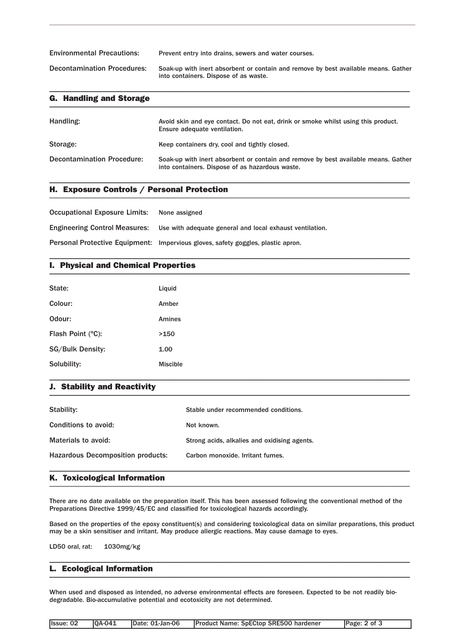Environmental Precautions: Prevent entry into drains, sewers and water courses. Decontamination Procedures: Soak-up with inert absorbent or contain and remove by best available means. Gather into containers. Dispose of as waste.

\_\_\_\_\_\_\_\_\_\_\_\_\_\_\_\_\_\_\_\_\_\_\_\_\_\_\_\_\_\_\_\_\_\_\_\_\_\_\_\_\_\_\_\_\_\_\_\_\_\_\_\_\_\_\_\_\_\_\_\_\_\_\_\_\_\_\_\_\_\_\_\_\_\_\_\_\_\_\_\_\_\_\_\_\_\_\_\_\_\_\_\_\_\_\_

| <b>G. Handling and Storage</b>    |                                                                                                                                       |
|-----------------------------------|---------------------------------------------------------------------------------------------------------------------------------------|
| Handling:                         | Avoid skin and eye contact. Do not eat, drink or smoke whilst using this product.<br>Ensure adequate ventilation.                     |
| Storage:                          | Keep containers dry, cool and tightly closed.                                                                                         |
| <b>Decontamination Procedure:</b> | Soak-up with inert absorbent or contain and remove by best available means. Gather<br>into containers. Dispose of as hazardous waste. |

\_\_\_\_\_\_\_\_\_\_\_\_\_\_\_\_\_\_\_\_\_\_\_\_\_\_\_\_\_\_\_\_\_\_\_\_\_\_\_\_\_\_\_\_\_\_\_\_\_\_\_\_\_\_\_\_\_\_\_\_\_\_\_\_\_\_\_\_\_\_\_\_\_\_\_\_\_\_\_\_\_\_\_\_\_\_\_\_\_\_\_\_\_\_\_

\_\_\_\_\_\_\_\_\_\_\_\_\_\_\_\_\_\_\_\_\_\_\_\_\_\_\_\_\_\_\_\_\_\_\_\_\_\_\_\_\_\_\_\_\_\_\_\_\_\_\_\_\_\_\_\_\_\_\_\_\_\_\_\_\_\_\_\_\_\_\_\_\_\_\_\_\_\_\_\_\_\_\_\_\_\_\_\_\_\_\_\_\_\_\_

## H. Exposure Controls / Personal Protection \_\_\_\_\_\_\_\_\_\_\_\_\_\_\_\_\_\_\_\_\_\_\_\_\_\_\_\_\_\_\_\_\_\_\_\_\_\_\_\_\_\_\_\_\_\_\_\_\_\_\_\_\_\_\_\_\_\_\_\_\_\_\_\_\_\_\_\_\_\_\_\_\_\_\_\_\_\_\_\_\_\_\_\_\_\_\_\_\_\_\_\_\_\_\_

Occupational Exposure Limits: None assigned Engineering Control Measures: Use with adequate general and local exhaust ventilation. Personal Protective Equipment: Impervious gloves, safety goggles, plastic apron.

## I. Physical and Chemical Properties \_\_\_\_\_\_\_\_\_\_\_\_\_\_\_\_\_\_\_\_\_\_\_\_\_\_\_\_\_\_\_\_\_\_\_\_\_\_\_\_\_\_\_\_\_\_\_\_\_\_\_\_\_\_\_\_\_\_\_\_\_\_\_\_\_\_\_\_\_\_\_\_\_\_\_\_\_\_\_\_\_\_\_\_\_\_\_\_\_\_\_\_\_\_\_

| State:                  | Liquid          |
|-------------------------|-----------------|
| Colour:                 | Amber           |
| Odour:                  | Amines          |
| Flash Point (°C):       | >150            |
| <b>SG/Bulk Density:</b> | 1.00            |
| Solubility:             | <b>Miscible</b> |

### J. Stability and Reactivity  $\blacksquare$

| Stability:                               | Stable under recommended conditions.         |
|------------------------------------------|----------------------------------------------|
| Conditions to avoid:                     | Not known.                                   |
| Materials to avoid:                      | Strong acids, alkalies and oxidising agents. |
| <b>Hazardous Decomposition products:</b> | Carbon monoxide, Irritant fumes.             |
|                                          |                                              |

\_\_\_\_\_\_\_\_\_\_\_\_\_\_\_\_\_\_\_\_\_\_\_\_\_\_\_\_\_\_\_\_\_\_\_\_\_\_\_\_\_\_\_\_\_\_\_\_\_\_\_\_\_\_\_\_\_\_\_\_\_\_\_\_\_\_\_\_\_\_\_\_\_\_\_\_\_\_\_\_\_\_\_\_\_\_\_\_\_\_\_\_\_\_\_

## K. Toxicological Information \_\_\_\_\_\_\_\_\_\_\_\_\_\_\_\_\_\_\_\_\_\_\_\_\_\_\_\_\_\_\_\_\_\_\_\_\_\_\_\_\_\_\_\_\_\_\_\_\_\_\_\_\_\_\_\_\_\_\_\_\_\_\_\_\_\_\_\_\_\_\_\_\_\_\_\_\_\_\_\_\_\_\_\_\_\_\_\_\_\_\_\_\_\_\_

There are no date available on the preparation itself. This has been assessed following the conventional method of the Preparations Directive 1999/45/EC and classified for toxicological hazards accordingly.

Based on the properties of the epoxy constituent(s) and considering toxicological data on similar preparations, this product may be a skin sensitiser and irritant. May produce allergic reactions. May cause damage to eyes.

\_\_\_\_\_\_\_\_\_\_\_\_\_\_\_\_\_\_\_\_\_\_\_\_\_\_\_\_\_\_\_\_\_\_\_\_\_\_\_\_\_\_\_\_\_\_\_\_\_\_\_\_\_\_\_\_\_\_\_\_\_\_\_\_\_\_\_\_\_\_\_\_\_\_\_\_\_\_\_\_\_\_\_\_\_\_\_\_\_\_\_\_\_\_\_

LD50 oral, rat: 1030mg/kg

#### L. Ecological Information  $\blacksquare$   $\blacksquare$   $\blacksquare$   $\blacksquare$   $\blacksquare$   $\blacksquare$   $\blacksquare$   $\blacksquare$   $\blacksquare$   $\blacksquare$   $\blacksquare$   $\blacksquare$   $\blacksquare$   $\blacksquare$   $\blacksquare$   $\blacksquare$   $\blacksquare$   $\blacksquare$   $\blacksquare$   $\blacksquare$   $\blacksquare$   $\blacksquare$   $\blacksquare$   $\blacksquare$   $\blacksquare$   $\blacksquare$   $\blacksquare$   $\blacksquare$   $\blacksquare$   $\blacksquare$   $\blacksquare$   $\blacks$

When used and disposed as intended, no adverse environmental effects are foreseen. Expected to be not readily biodegradable. Bio-accumulative potential and ecotoxicity are not determined.

| Issue: 02 | <b>IOA-041</b> | IDate: 01-Jan-06 | <b>Product Name: SpECtop SRE500 hardener</b> | Page: 2 of 3 |
|-----------|----------------|------------------|----------------------------------------------|--------------|
|-----------|----------------|------------------|----------------------------------------------|--------------|